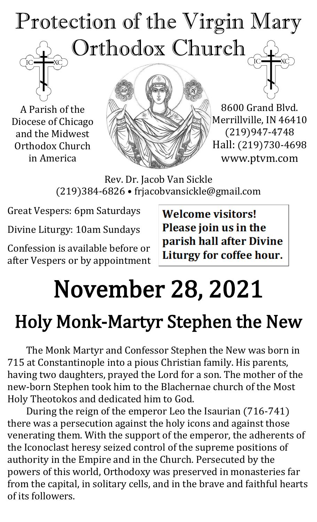# Protection of the Virgin Mary Orthodox Church

A Parish of the Diocese of Chicago and the Midwest Orthodox Church in America



8600 Grand Blvd. Merrillville, IN 46410 (219)947-4748 Hall: (219)730-4698 www.ptvm.com

Rev. Dr. Jacob Van Sickle (219)384-6826 • frjacobvansickle@gmail.com

Great Vespers: 6pm Saturdays

Divine Liturgy: 10am Sundays

Confession is available before or after Vespers or by appointment **Welcome visitors!** Please join us in the parish hall after Divine Liturgy for coffee hour.

# November 28, 2021

# Holy Monk-Martyr Stephen the New

The Monk Martyr and Confessor Stephen the New was born in 715 at Constantinople into a pious Christian family. His parents, having two daughters, prayed the Lord for a son. The mother of the new-born Stephen took him to the Blachernae church of the Most Holy Theotokos and dedicated him to God.

During the reign of the emperor Leo the Isaurian (716-741) there was a persecution against the holy icons and against those venerating them. With the support of the emperor, the adherents of the Iconoclast heresy seized control of the supreme positions of authority in the Empire and in the Church. Persecuted by the powers of this world, Orthodoxy was preserved in monasteries far from the capital, in solitary cells, and in the brave and faithful hearts of its followers.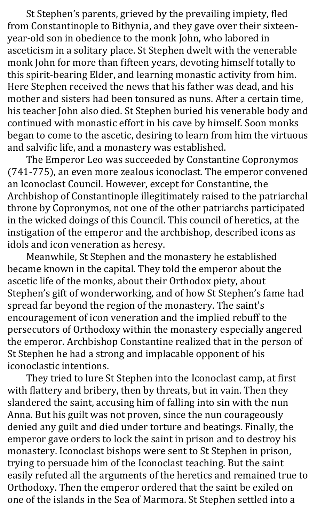St Stephen's parents, grieved by the prevailing impiety, fled from Constantinople to Bithynia, and they gave over their sixteenyear-old son in obedience to the monk John, who labored in asceticism in a solitary place. St Stephen dwelt with the venerable monk John for more than fifteen years, devoting himself totally to this spirit-bearing Elder, and learning monastic activity from him. Here Stephen received the news that his father was dead, and his mother and sisters had been tonsured as nuns. After a certain time, his teacher John also died. St Stephen buried his venerable body and continued with monastic effort in his cave by himself. Soon monks began to come to the ascetic, desiring to learn from him the virtuous and salvific life, and a monastery was established.

The Emperor Leo was succeeded by Constantine Copronymos (741-775), an even more zealous iconoclast. The emperor convened an Iconoclast Council. However, except for Constantine, the Archbishop of Constantinople illegitimately raised to the patriarchal throne by Copronymos, not one of the other patriarchs participated in the wicked doings of this Council. This council of heretics, at the instigation of the emperor and the archbishop, described icons as idols and icon veneration as heresy.

Meanwhile, St Stephen and the monastery he established became known in the capital. They told the emperor about the ascetic life of the monks, about their Orthodox piety, about Stephen's gift of wonderworking, and of how St Stephen's fame had spread far beyond the region of the monastery. The saint's encouragement of icon veneration and the implied rebuff to the persecutors of Orthodoxy within the monastery especially angered the emperor. Archbishop Constantine realized that in the person of St Stephen he had a strong and implacable opponent of his iconoclastic intentions.

They tried to lure St Stephen into the Iconoclast camp, at first with flattery and bribery, then by threats, but in vain. Then they slandered the saint, accusing him of falling into sin with the nun Anna. But his guilt was not proven, since the nun courageously denied any guilt and died under torture and beatings. Finally, the emperor gave orders to lock the saint in prison and to destroy his monastery. Iconoclast bishops were sent to St Stephen in prison, trying to persuade him of the Iconoclast teaching. But the saint easily refuted all the arguments of the heretics and remained true to Orthodoxy. Then the emperor ordered that the saint be exiled on one of the islands in the Sea of Marmora. St Stephen settled into a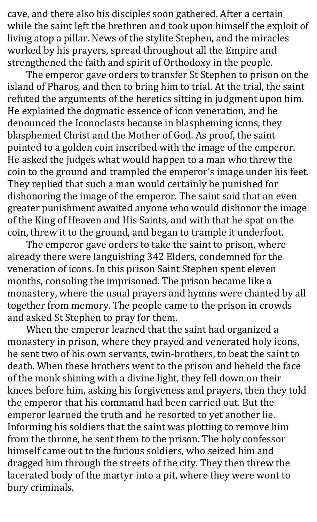cave, and there also his disciples soon gathered. After a certain while the saint left the brethren and took upon himself the exploit of living atop a pillar. News of the stylite Stephen, and the miracles worked by his prayers, spread throughout all the Empire and strengthened the faith and spirit of Orthodoxy in the people.

The emperor gave orders to transfer St Stephen to prison on the island of Pharos, and then to bring him to trial. At the trial, the saint refuted the arguments of the heretics sitting in judgment upon him. He explained the dogmatic essence of icon veneration, and he denounced the Iconoclasts because in blaspheming icons, they blasphemed Christ and the Mother of God. As proof, the saint pointed to a golden coin inscribed with the image of the emperor. He asked the judges what would happen to a man who threw the coin to the ground and trampled the emperor's image under his feet. They replied that such a man would certainly be punished for dishonoring the image of the emperor. The saint said that an even greater punishment awaited anyone who would dishonor the image of the King of Heaven and His Saints, and with that he spat on the coin, threw it to the ground, and began to trample it underfoot.

The emperor gave orders to take the saint to prison, where already there were languishing 342 Elders, condemned for the veneration of icons. In this prison Saint Stephen spent eleven months, consoling the imprisoned. The prison became like a monastery, where the usual prayers and hymns were chanted by all together from memory. The people came to the prison in crowds and asked St Stephen to pray for them.

When the emperor learned that the saint had organized a monastery in prison, where they prayed and venerated holy icons, he sent two of his own servants, twin-brothers, to beat the saint to death. When these brothers went to the prison and beheld the face of the monk shining with a divine light, they fell down on their knees before him, asking his forgiveness and prayers, then they told the emperor that his command had been carried out. But the emperor learned the truth and he resorted to yet another lie. Informing his soldiers that the saint was plotting to remove him from the throne, he sent them to the prison. The holy confessor himself came out to the furious soldiers, who seized him and dragged him through the streets of the city. They then threw the lacerated body of the martyr into a pit, where they were wont to bury criminals.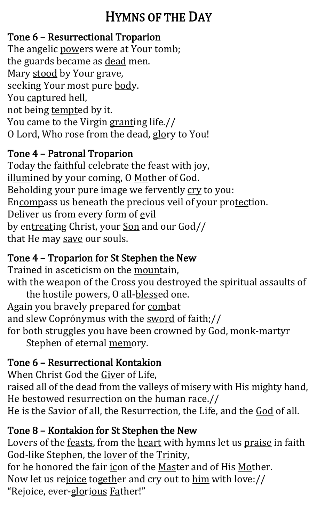## HYMNS OF THE DAY

#### Tone 6 – Resurrectional Troparion

The angelic powers were at Your tomb; the guards became as dead men. Mary stood by Your grave, seeking Your most pure body. You captured hell, not being tempted by it. You came to the Virgin granting life.// O Lord, Who rose from the dead, glory to You!

#### Tone 4 – Patronal Troparion

Today the faithful celebrate the feast with joy, illumined by your coming, O Mother of God. Beholding your pure image we fervently cry to you: Encompass us beneath the precious veil of your protection. Deliver us from every form of evil by entreating Christ, your Son and our God// that He may save our souls.

#### Tone 4 – Troparion for St Stephen the New

Trained in asceticism on the mountain, with the weapon of the Cross you destroyed the spiritual assaults of the hostile powers, O all-blessed one. Again you bravely prepared for combat and slew Coprónymus with the sword of faith;// for both struggles you have been crowned by God, monk-martyr Stephen of eternal memory.

#### Tone 6 – Resurrectional Kontakion

When Christ God the Giver of Life, raised all of the dead from the valleys of misery with His mighty hand, He bestowed resurrection on the human race.// He is the Savior of all, the Resurrection, the Life, and the God of all.

#### Tone 8 – Kontakion for St Stephen the New

Lovers of the feasts, from the heart with hymns let us praise in faith God-like Stephen, the <u>lover of</u> the Trinity, for he honored the fair icon of the Master and of His Mother. Now let us rejoice together and cry out to him with love:// "Rejoice, ever-glorious Father!"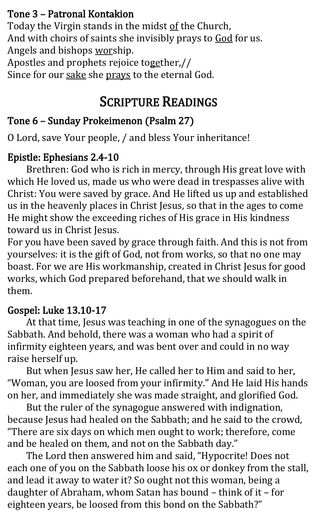#### Tone 3 – Patronal Kontakion

Today the Virgin stands in the midst of the Church, And with choirs of saints she invisibly prays to God for us. Angels and bishops worship. Apostles and prophets rejoice together,//

Since for our sake she prays to the eternal God.

### SCRIPTURE READINGS

#### Tone 6 – Sunday Prokeimenon (Psalm 27)

O Lord, save Your people, / and bless Your inheritance!

#### Epistle: Ephesians 2.4-10

Brethren: God who is rich in mercy, through His great love with which He loved us, made us who were dead in trespasses alive with Christ: You were saved by grace. And He lifted us up and established us in the heavenly places in Christ Jesus, so that in the ages to come He might show the exceeding riches of His grace in His kindness toward us in Christ Jesus.

For you have been saved by grace through faith. And this is not from yourselves: it is the gift of God, not from works, so that no one may boast. For we are His workmanship, created in Christ Jesus for good works, which God prepared beforehand, that we should walk in them.

#### Gospel: Luke 13.10-17

At that time, Jesus was teaching in one of the synagogues on the Sabbath. And behold, there was a woman who had a spirit of infirmity eighteen years, and was bent over and could in no way raise herself up.

But when Jesus saw her, He called her to Him and said to her, "Woman, you are loosed from your infirmity." And He laid His hands on her, and immediately she was made straight, and glorified God.

But the ruler of the synagogue answered with indignation, because Jesus had healed on the Sabbath; and he said to the crowd, "There are six days on which men ought to work; therefore, come and be healed on them, and not on the Sabbath day."

The Lord then answered him and said, "Hypocrite! Does not each one of you on the Sabbath loose his ox or donkey from the stall, and lead it away to water it? So ought not this woman, being a daughter of Abraham, whom Satan has bound – think of it – for eighteen years, be loosed from this bond on the Sabbath?"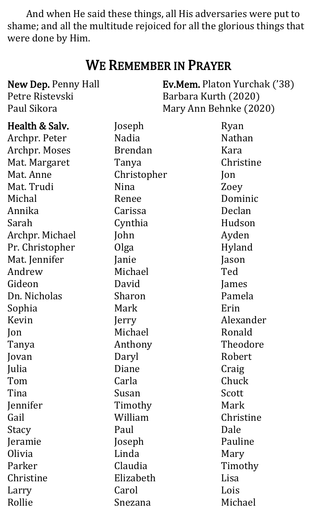And when He said these things, all His adversaries were put to shame; and all the multitude rejoiced for all the glorious things that were done by Him.

## WE REMEMBER IN PRAYER

| New Dep. Penny Hall | Ev.Mem. Platon Yurchak ('38) |                |
|---------------------|------------------------------|----------------|
| Petre Ristevski     | Barbara Kurth (2020)         |                |
| Paul Sikora         | Mary Ann Behnke (2020)       |                |
| Health & Salv.      | Joseph                       | Ryan           |
| Archpr. Peter       | <b>Nadia</b>                 | <b>Nathan</b>  |
| Archpr. Moses       | <b>Brendan</b>               | Kara           |
| Mat. Margaret       | Tanya                        | Christine      |
| Mat. Anne           | Christopher                  | $\mathsf{lon}$ |
| Mat. Trudi          | Nina                         | Zoey           |
| Michal              | Renee                        | Dominic        |
| Annika              | Carissa                      | Declan         |
| Sarah               | Cynthia                      | Hudson         |
| Archpr. Michael     | John                         | Ayden          |
| Pr. Christopher     | Olga                         | Hyland         |
| Mat. Jennifer       | Janie                        | Jason          |
| Andrew              | Michael                      | Ted            |
| Gideon              | David                        | James          |
| Dn. Nicholas        | Sharon                       | Pamela         |
| Sophia              | Mark                         | Erin           |
| Kevin               | Jerry                        | Alexander      |
| Jon                 | Michael                      | Ronald         |
| Tanya               | Anthony                      | Theodore       |
| Jovan               | Daryl                        | Robert         |
| Julia               | Diane                        | Craig          |
| Tom                 | Carla                        | Chuck          |
| Tina                | Susan                        | Scott          |
| Jennifer            | Timothy                      | Mark           |
| Gail                | William                      | Christine      |
| Stacy               | Paul                         | Dale           |
| Jeramie             | Joseph                       | Pauline        |
| Olivia              | Linda                        | Mary           |
| Parker              | Claudia                      | Timothy        |
| Christine           | Elizabeth                    | Lisa           |
| Larry               | Carol                        | Lois           |
| Rollie              | Snezana                      | Michael        |
|                     |                              |                |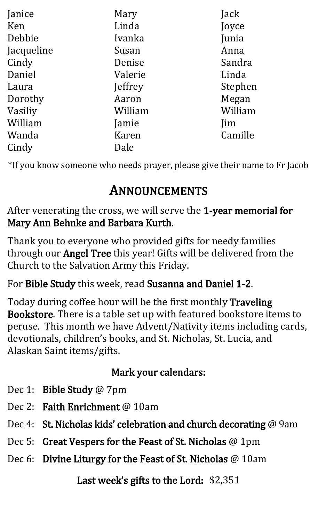| Janice     | Mary    | Jack       |
|------------|---------|------------|
| Ken        | Linda   | Joyce      |
| Debbie     | Ivanka  | Junia      |
| Jacqueline | Susan   | Anna       |
| Cindy      | Denise  | Sandra     |
| Daniel     | Valerie | Linda      |
| Laura      | Jeffrey | Stephen    |
| Dorothy    | Aaron   | Megan      |
| Vasiliy    | William | William    |
| William    | Jamie   | <i>lim</i> |
| Wanda      | Karen   | Camille    |
| Cindy      | Dale    |            |

\*If you know someone who needs prayer, please give their name to Fr Jacob

## ANNOUNCEMENTS

After venerating the cross, we will serve the 1-year memorial for Mary Ann Behnke and Barbara Kurth.

Thank you to everyone who provided gifts for needy families through our Angel Tree this year! Gifts will be delivered from the Church to the Salvation Army this Friday.

For Bible Study this week, read Susanna and Daniel 1-2.

Today during coffee hour will be the first monthly Traveling Bookstore. There is a table set up with featured bookstore items to peruse. This month we have Advent/Nativity items including cards, devotionals, children's books, and St. Nicholas, St. Lucia, and Alaskan Saint items/gifts.

#### Mark your calendars:

- Dec 1: Bible Study @ 7pm
- Dec 2: Faith Enrichment @ 10am
- Dec 4: St. Nicholas kids' celebration and church decorating @ 9am
- Dec 5: Great Vespers for the Feast of St. Nicholas @ 1pm
- Dec 6: Divine Liturgy for the Feast of St. Nicholas @ 10am

Last week's gifts to the Lord: \$2,351